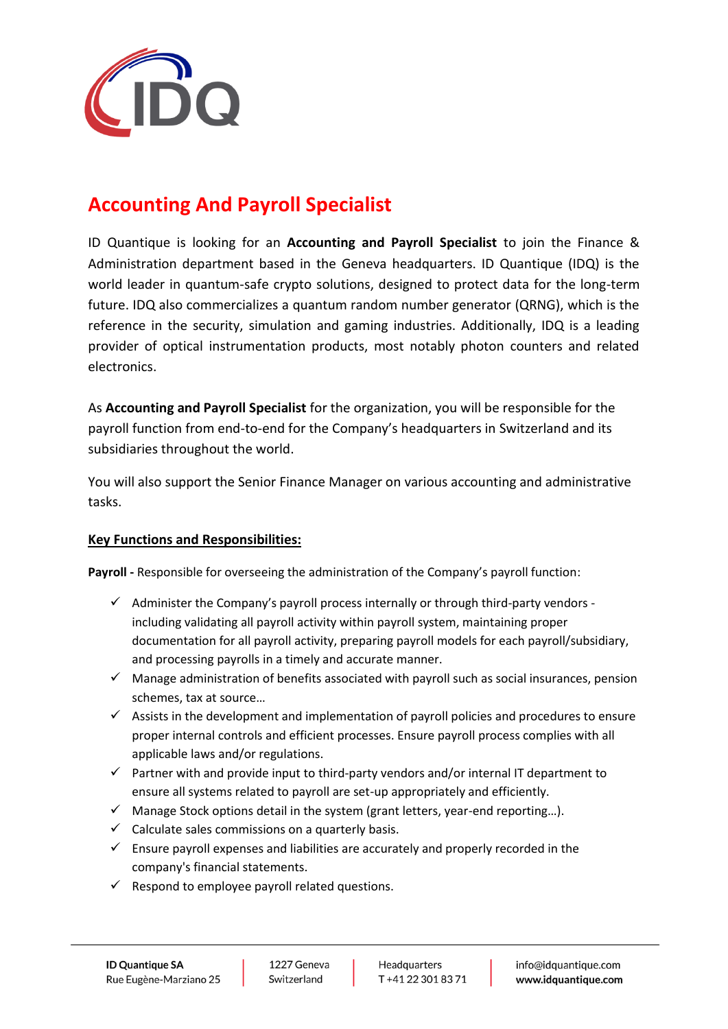

## **Accounting And Payroll Specialist**

ID Quantique is looking for an **Accounting and Payroll Specialist** to join the Finance & Administration department based in the Geneva headquarters. ID Quantique (IDQ) is the world leader in quantum-safe crypto solutions, designed to protect data for the long-term future. IDQ also commercializes a quantum random number generator (QRNG), which is the reference in the security, simulation and gaming industries. Additionally, IDQ is a leading provider of optical instrumentation products, most notably photon counters and related electronics.

As **Accounting and Payroll Specialist** for the organization, you will be responsible for the payroll function from end-to-end for the Company's headquarters in Switzerland and its subsidiaries throughout the world.

You will also support the Senior Finance Manager on various accounting and administrative tasks.

## **Key Functions and Responsibilities:**

**Payroll -** Responsible for overseeing the administration of the Company's payroll function:

- $\checkmark$  Administer the Company's payroll process internally or through third-party vendors including validating all payroll activity within payroll system, maintaining proper documentation for all payroll activity, preparing payroll models for each payroll/subsidiary, and processing payrolls in a timely and accurate manner.
- $\checkmark$  Manage administration of benefits associated with payroll such as social insurances, pension schemes, tax at source…
- $\checkmark$  Assists in the development and implementation of payroll policies and procedures to ensure proper internal controls and efficient processes. Ensure payroll process complies with all applicable laws and/or regulations.
- $\checkmark$  Partner with and provide input to third-party vendors and/or internal IT department to ensure all systems related to payroll are set-up appropriately and efficiently.
- $\checkmark$  Manage Stock options detail in the system (grant letters, year-end reporting...).
- $\checkmark$  Calculate sales commissions on a quarterly basis.
- $\checkmark$  Ensure payroll expenses and liabilities are accurately and properly recorded in the company's financial statements.
- $\checkmark$  Respond to employee payroll related questions.